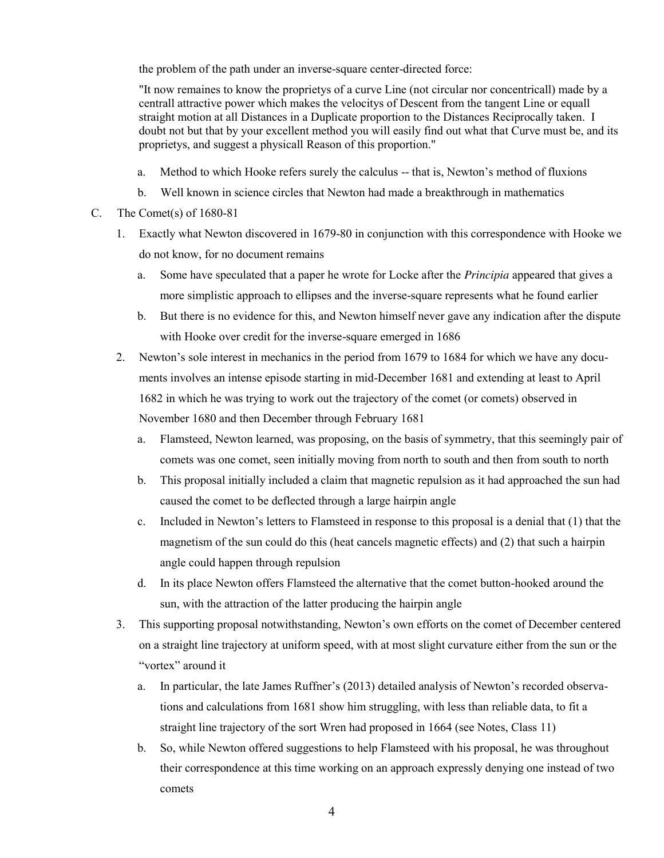the problem of the path under an inverse-square center-directed force:

"It now remaines to know the proprietys of a curve Line (not circular nor concentricall) made by a centrall attractive power which makes the velocitys of Descent from the tangent Line or equall straight motion at all Distances in a Duplicate proportion to the Distances Reciprocally taken. I doubt not but that by your excellent method you will easily find out what that Curve must be, and its proprietys, and suggest a physicall Reason of this proportion."

- a. Method to which Hooke refers surely the calculus -- that is, Newton's method of fluxions
- b. Well known in science circles that Newton had made a breakthrough in mathematics
- C. The Comet(s) of 1680-81
	- 1. Exactly what Newton discovered in 1679-80 in conjunction with this correspondence with Hooke we do not know, for no document remains
		- a. Some have speculated that a paper he wrote for Locke after the *Principia* appeared that gives a more simplistic approach to ellipses and the inverse-square represents what he found earlier
		- b. But there is no evidence for this, and Newton himself never gave any indication after the dispute with Hooke over credit for the inverse-square emerged in 1686
	- 2. Newton's sole interest in mechanics in the period from 1679 to 1684 for which we have any documents involves an intense episode starting in mid-December 1681 and extending at least to April 1682 in which he was trying to work out the trajectory of the comet (or comets) observed in November 1680 and then December through February 1681
		- a. Flamsteed, Newton learned, was proposing, on the basis of symmetry, that this seemingly pair of comets was one comet, seen initially moving from north to south and then from south to north
		- b. This proposal initially included a claim that magnetic repulsion as it had approached the sun had caused the comet to be deflected through a large hairpin angle
		- c. Included in Newton's letters to Flamsteed in response to this proposal is a denial that (1) that the magnetism of the sun could do this (heat cancels magnetic effects) and (2) that such a hairpin angle could happen through repulsion
		- d. In its place Newton offers Flamsteed the alternative that the comet button-hooked around the sun, with the attraction of the latter producing the hairpin angle
	- 3. This supporting proposal notwithstanding, Newton's own efforts on the comet of December centered on a straight line trajectory at uniform speed, with at most slight curvature either from the sun or the "vortex" around it
		- a. In particular, the late James Ruffner's (2013) detailed analysis of Newton's recorded observations and calculations from 1681 show him struggling, with less than reliable data, to fit a straight line trajectory of the sort Wren had proposed in 1664 (see Notes, Class 11)
		- b. So, while Newton offered suggestions to help Flamsteed with his proposal, he was throughout their correspondence at this time working on an approach expressly denying one instead of two comets